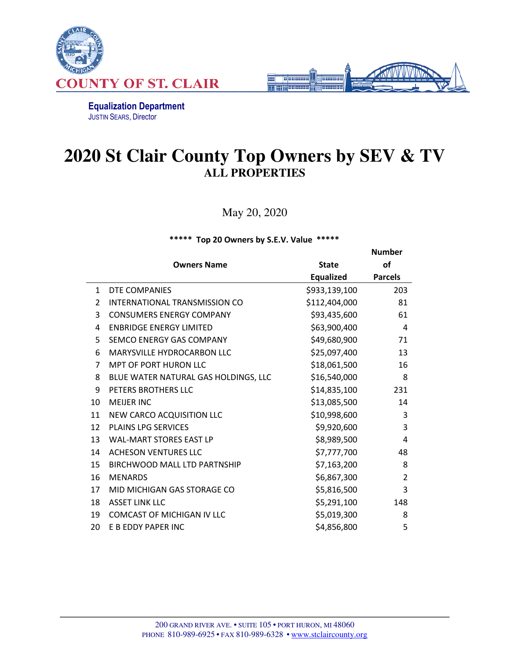



Equalization Department JUSTIN SEARS, Director

## **2020 St Clair County Top Owners by SEV & TV ALL PROPERTIES**

May 20, 2020

\*\*\*\*\* Top 20 Owners by S.E.V. Value \*\*\*\*\*

|                |                                      |               | <b>Number</b>  |
|----------------|--------------------------------------|---------------|----------------|
|                | <b>Owners Name</b>                   | <b>State</b>  | <b>of</b>      |
|                |                                      | Equalized     | <b>Parcels</b> |
| $\mathbf{1}$   | DTE COMPANIES                        | \$933,139,100 | 203            |
| $\overline{2}$ | INTERNATIONAL TRANSMISSION CO        | \$112,404,000 | 81             |
| 3              | <b>CONSUMERS ENERGY COMPANY</b>      | \$93,435,600  | 61             |
| 4              | <b>ENBRIDGE ENERGY LIMITED</b>       | \$63,900,400  | 4              |
| 5              | SEMCO ENERGY GAS COMPANY             | \$49,680,900  | 71             |
| 6              | MARYSVILLE HYDROCARBON LLC           | \$25,097,400  | 13             |
| $\overline{7}$ | MPT OF PORT HURON LLC                | \$18,061,500  | 16             |
| 8              | BLUE WATER NATURAL GAS HOLDINGS, LLC | \$16,540,000  | 8              |
| 9              | PETERS BROTHERS LLC                  | \$14,835,100  | 231            |
| 10             | <b>MEIJER INC</b>                    | \$13,085,500  | 14             |
| 11             | NEW CARCO ACQUISITION LLC            | \$10,998,600  | 3              |
| 12             | <b>PLAINS LPG SERVICES</b>           | \$9,920,600   | 3              |
| 13             | <b>WAL-MART STORES EAST LP</b>       | \$8,989,500   | 4              |
| 14             | <b>ACHESON VENTURES LLC</b>          | \$7,777,700   | 48             |
| 15             | <b>BIRCHWOOD MALL LTD PARTNSHIP</b>  | \$7,163,200   | 8              |
| 16             | <b>MENARDS</b>                       | \$6,867,300   | $\overline{2}$ |
| 17             | MID MICHIGAN GAS STORAGE CO          | \$5,816,500   | 3              |
| 18             | <b>ASSET LINK LLC</b>                | \$5,291,100   | 148            |
| 19             | <b>COMCAST OF MICHIGAN IV LLC</b>    | \$5,019,300   | 8              |
| 20             | E B EDDY PAPER INC                   | \$4,856,800   | 5              |